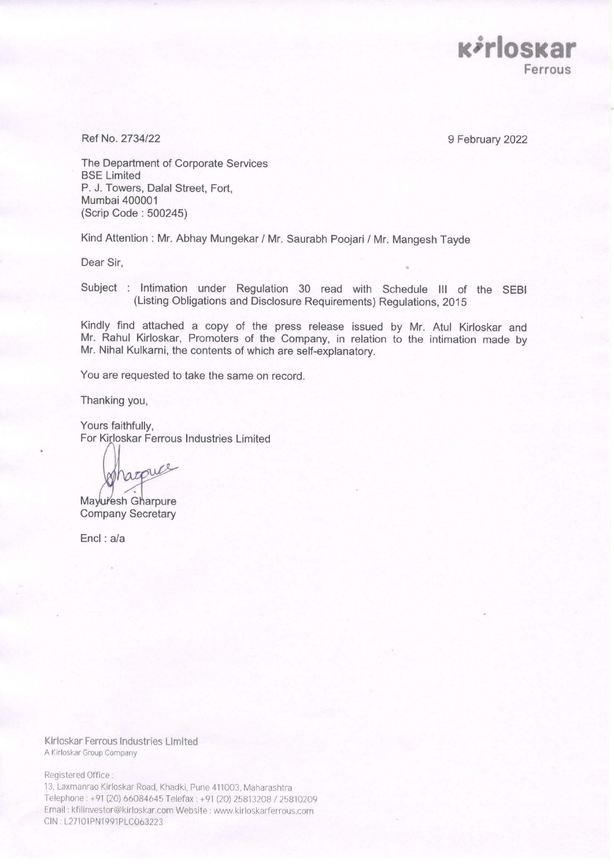

Ref No. 2734/22

9 February 2022

The Department of Corporate Services BSE Limited P. J. Towers, Dalal Street, Fort, Mumbai 400001 (Scrip Code : 500245)

Kind Attention : Mr. Abhay Mungekar / Mr. Saurabh Poojari / Mr. Mangesh Tayde

Dear Sir,

Subject : Intimation under Regulation 30 read with Schedule III of the SEBI (Listing Obligations and Disclosure Requirements) Regulations, 2015

Kindly find attached a copy of the press release issued by Mr. Atul Kirloskar and Mr. Rahul Kirloskar, Promoters of the Company, in relation to the intimation made by Mr. Nihal Kulkarni, the contents of which are self-explanatory.

You are requested to take the same on record.

Thanking you,

Yours faithfully, For Kirloskar Ferrous Industries Limited

pharque

**Mayuresh Gharpure** Company Secretary

Encl : a/a

Klrloskar Ferrous Industries Limited A t'irloskar Group Company

Registered Office :

13, Laxmanrao Kirloskar Road, Khadki, Pune 411003, Maharashtra Telephone : +91 (20) 66084645 Telefax: ➔ 91 (20} 25813208 *I* 25810209 Email: kfilinvestor@kirloskar.com Website: www.kirloskarferrous.com CIN. L27101PN1991PLC063223